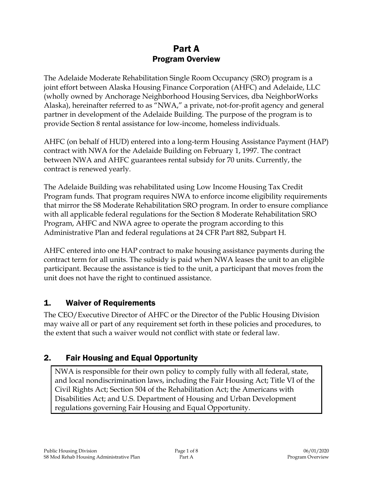# Part A Program Overview

The Adelaide Moderate Rehabilitation Single Room Occupancy (SRO) program is a joint effort between Alaska Housing Finance Corporation (AHFC) and Adelaide, LLC (wholly owned by Anchorage Neighborhood Housing Services, dba NeighborWorks Alaska), hereinafter referred to as "NWA," a private, not-for-profit agency and general partner in development of the Adelaide Building. The purpose of the program is to provide Section 8 rental assistance for low-income, homeless individuals.

AHFC (on behalf of HUD) entered into a long-term Housing Assistance Payment (HAP) contract with NWA for the Adelaide Building on February 1, 1997. The contract between NWA and AHFC guarantees rental subsidy for 70 units. Currently, the contract is renewed yearly.

The Adelaide Building was rehabilitated using Low Income Housing Tax Credit Program funds. That program requires NWA to enforce income eligibility requirements that mirror the S8 Moderate Rehabilitation SRO program. In order to ensure compliance with all applicable federal regulations for the Section 8 Moderate Rehabilitation SRO Program, AHFC and NWA agree to operate the program according to this Administrative Plan and federal regulations at 24 CFR Part 882, Subpart H.

AHFC entered into one HAP contract to make housing assistance payments during the contract term for all units. The subsidy is paid when NWA leases the unit to an eligible participant. Because the assistance is tied to the unit, a participant that moves from the unit does not have the right to continued assistance.

# 1. Waiver of Requirements

The CEO/Executive Director of AHFC or the Director of the Public Housing Division may waive all or part of any requirement set forth in these policies and procedures, to the extent that such a waiver would not conflict with state or federal law.

# 2. Fair Housing and Equal Opportunity

NWA is responsible for their own policy to comply fully with all federal, state, and local nondiscrimination laws, including the Fair Housing Act; Title VI of the Civil Rights Act; Section 504 of the Rehabilitation Act; the Americans with Disabilities Act; and U.S. Department of Housing and Urban Development regulations governing Fair Housing and Equal Opportunity.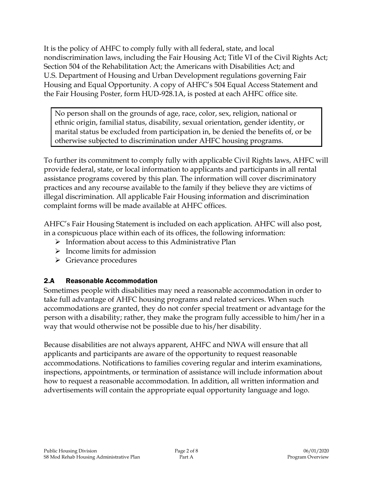It is the policy of AHFC to comply fully with all federal, state, and local nondiscrimination laws, including the Fair Housing Act; Title VI of the Civil Rights Act; Section 504 of the Rehabilitation Act; the Americans with Disabilities Act; and U.S. Department of Housing and Urban Development regulations governing Fair Housing and Equal Opportunity. A copy of AHFC's 504 Equal Access Statement and the Fair Housing Poster, form HUD-928.1A, is posted at each AHFC office site.

No person shall on the grounds of age, race, color, sex, religion, national or ethnic origin, familial status, disability, sexual orientation, gender identity, or marital status be excluded from participation in, be denied the benefits of, or be otherwise subjected to discrimination under AHFC housing programs.

To further its commitment to comply fully with applicable Civil Rights laws, AHFC will provide federal, state, or local information to applicants and participants in all rental assistance programs covered by this plan. The information will cover discriminatory practices and any recourse available to the family if they believe they are victims of illegal discrimination. All applicable Fair Housing information and discrimination complaint forms will be made available at AHFC offices.

AHFC's Fair Housing Statement is included on each application. AHFC will also post, in a conspicuous place within each of its offices, the following information:

- $\triangleright$  Information about access to this Administrative Plan
- $\triangleright$  Income limits for admission
- $\triangleright$  Grievance procedures

# 2.A Reasonable Accommodation

Sometimes people with disabilities may need a reasonable accommodation in order to take full advantage of AHFC housing programs and related services. When such accommodations are granted, they do not confer special treatment or advantage for the person with a disability; rather, they make the program fully accessible to him/her in a way that would otherwise not be possible due to his/her disability.

Because disabilities are not always apparent, AHFC and NWA will ensure that all applicants and participants are aware of the opportunity to request reasonable accommodations. Notifications to families covering regular and interim examinations, inspections, appointments, or termination of assistance will include information about how to request a reasonable accommodation. In addition, all written information and advertisements will contain the appropriate equal opportunity language and logo.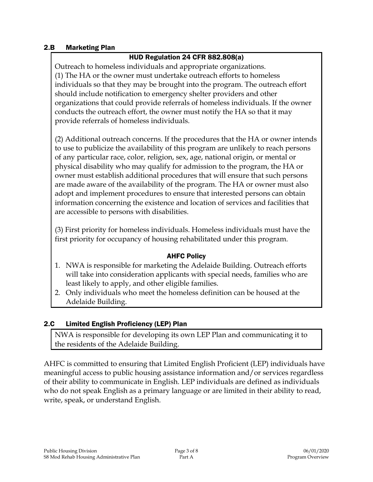### 2.B Marketing Plan

## HUD Regulation 24 CFR 882.808(a)

Outreach to homeless individuals and appropriate organizations. (1) The HA or the owner must undertake outreach efforts to homeless individuals so that they may be brought into the program. The outreach effort should include notification to emergency shelter providers and other organizations that could provide referrals of homeless individuals. If the owner conducts the outreach effort, the owner must notify the HA so that it may provide referrals of homeless individuals.

(2) Additional outreach concerns. If the procedures that the HA or owner intends to use to publicize the availability of this program are unlikely to reach persons of any particular race, color, religion, sex, age, national origin, or mental or physical disability who may qualify for admission to the program, the HA or owner must establish additional procedures that will ensure that such persons are made aware of the availability of the program. The HA or owner must also adopt and implement procedures to ensure that interested persons can obtain information concerning the existence and location of services and facilities that are accessible to persons with disabilities.

(3) First priority for homeless individuals. Homeless individuals must have the first priority for occupancy of housing rehabilitated under this program.

### AHFC Policy

- 1. NWA is responsible for marketing the Adelaide Building. Outreach efforts will take into consideration applicants with special needs, families who are least likely to apply, and other eligible families.
- 2. Only individuals who meet the homeless definition can be housed at the Adelaide Building.

### 2.C Limited English Proficiency (LEP) Plan

NWA is responsible for developing its own LEP Plan and communicating it to the residents of the Adelaide Building.

AHFC is committed to ensuring that Limited English Proficient (LEP) individuals have meaningful access to public housing assistance information and/or services regardless of their ability to communicate in English. LEP individuals are defined as individuals who do not speak English as a primary language or are limited in their ability to read, write, speak, or understand English.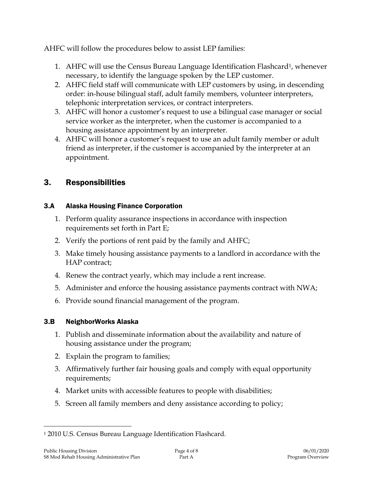AHFC will follow the procedures below to assist LEP families:

- 1. AHFC will use the Census Bureau Language Identification Flashcard<sup>1</sup>, whenever necessary, to identify the language spoken by the LEP customer.
- 2. AHFC field staff will communicate with LEP customers by using, in descending order: in-house bilingual staff, adult family members, volunteer interpreters, telephonic interpretation services, or contract interpreters.
- 3. AHFC will honor a customer's request to use a bilingual case manager or social service worker as the interpreter, when the customer is accompanied to a housing assistance appointment by an interpreter.
- 4. AHFC will honor a customer's request to use an adult family member or adult friend as interpreter, if the customer is accompanied by the interpreter at an appointment.

# 3. Responsibilities

## 3.A Alaska Housing Finance Corporation

- 1. Perform quality assurance inspections in accordance with inspection requirements set forth in Part E;
- 2. Verify the portions of rent paid by the family and AHFC;
- 3. Make timely housing assistance payments to a landlord in accordance with the HAP contract;
- 4. Renew the contract yearly, which may include a rent increase.
- 5. Administer and enforce the housing assistance payments contract with NWA;
- 6. Provide sound financial management of the program.

# 3.B NeighborWorks Alaska

- 1. Publish and disseminate information about the availability and nature of housing assistance under the program;
- 2. Explain the program to families;
- 3. Affirmatively further fair housing goals and comply with equal opportunity requirements;
- 4. Market units with accessible features to people with disabilities;
- 5. Screen all family members and deny assistance according to policy;

 $\overline{a}$ 

<sup>1</sup> 2010 U.S. Census Bureau Language Identification Flashcard.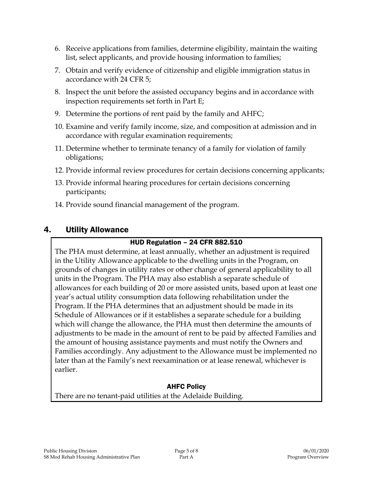- 6. Receive applications from families, determine eligibility, maintain the waiting list, select applicants, and provide housing information to families;
- 7. Obtain and verify evidence of citizenship and eligible immigration status in accordance with 24 CFR 5;
- 8. Inspect the unit before the assisted occupancy begins and in accordance with inspection requirements set forth in Part E;
- 9. Determine the portions of rent paid by the family and AHFC;
- 10. Examine and verify family income, size, and composition at admission and in accordance with regular examination requirements;
- 11. Determine whether to terminate tenancy of a family for violation of family obligations;
- 12. Provide informal review procedures for certain decisions concerning applicants;
- 13. Provide informal hearing procedures for certain decisions concerning participants;
- 14. Provide sound financial management of the program.

# 4. Utility Allowance

## HUD Regulation – 24 CFR 882.510

The PHA must determine, at least annually, whether an adjustment is required in the Utility Allowance applicable to the dwelling units in the Program, on grounds of changes in utility rates or other change of general applicability to all units in the Program. The PHA may also establish a separate schedule of allowances for each building of 20 or more assisted units, based upon at least one year's actual utility consumption data following rehabilitation under the Program. If the PHA determines that an adjustment should be made in its Schedule of Allowances or if it establishes a separate schedule for a building which will change the allowance, the PHA must then determine the amounts of adjustments to be made in the amount of rent to be paid by affected Families and the amount of housing assistance payments and must notify the Owners and Families accordingly. Any adjustment to the Allowance must be implemented no later than at the Family's next reexamination or at lease renewal, whichever is earlier.

## AHFC Policy

There are no tenant-paid utilities at the Adelaide Building.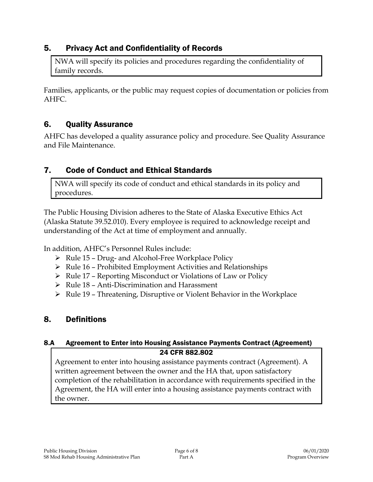# 5. Privacy Act and Confidentiality of Records

NWA will specify its policies and procedures regarding the confidentiality of family records.

Families, applicants, or the public may request copies of documentation or policies from AHFC.

# 6. Quality Assurance

AHFC has developed a quality assurance policy and procedure. See Quality Assurance and File Maintenance.

# 7. Code of Conduct and Ethical Standards

NWA will specify its code of conduct and ethical standards in its policy and procedures.

The Public Housing Division adheres to the State of Alaska Executive Ethics Act (Alaska Statute 39.52.010). Every employee is required to acknowledge receipt and understanding of the Act at time of employment and annually.

In addition, AHFC's Personnel Rules include:

- $\triangleright$  Rule 15 Drug- and Alcohol-Free Workplace Policy
- $\triangleright$  Rule 16 Prohibited Employment Activities and Relationships
- $\triangleright$  Rule 17 Reporting Misconduct or Violations of Law or Policy
- $\triangleright$  Rule 18 Anti-Discrimination and Harassment
- $\triangleright$  Rule 19 Threatening, Disruptive or Violent Behavior in the Workplace

# 8. Definitions

## 8.A Agreement to Enter into Housing Assistance Payments Contract (Agreement) 24 CFR 882.802

Agreement to enter into housing assistance payments contract (Agreement). A written agreement between the owner and the HA that, upon satisfactory completion of the rehabilitation in accordance with requirements specified in the Agreement, the HA will enter into a housing assistance payments contract with the owner.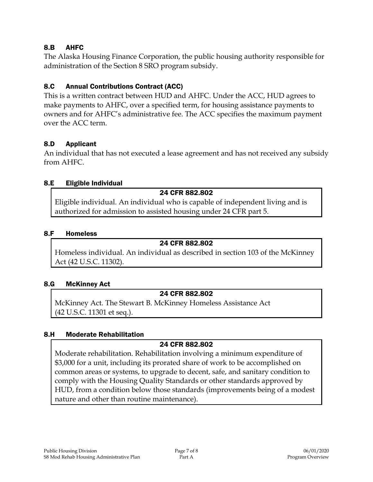## 8.B AHFC

The Alaska Housing Finance Corporation, the public housing authority responsible for administration of the Section 8 SRO program subsidy.

## 8.C Annual Contributions Contract (ACC)

This is a written contract between HUD and AHFC. Under the ACC, HUD agrees to make payments to AHFC, over a specified term, for housing assistance payments to owners and for AHFC's administrative fee. The ACC specifies the maximum payment over the ACC term.

### 8.D Applicant

An individual that has not executed a lease agreement and has not received any subsidy from AHFC.

### 8.E Eligible Individual

### 24 CFR 882.802

Eligible individual. An individual who is capable of independent living and is authorized for admission to assisted housing under 24 CFR part 5.

#### 8.F Homeless

#### 24 CFR 882.802

Homeless individual. An individual as described in section 103 of the McKinney Act (42 U.S.C. 11302).

#### 8.G McKinney Act

### 24 CFR 882.802

McKinney Act. The Stewart B. McKinney Homeless Assistance Act (42 U.S.C. 11301 et seq.).

### 8.H Moderate Rehabilitation

## 24 CFR 882.802

Moderate rehabilitation. Rehabilitation involving a minimum expenditure of \$3,000 for a unit, including its prorated share of work to be accomplished on common areas or systems, to upgrade to decent, safe, and sanitary condition to comply with the Housing Quality Standards or other standards approved by HUD, from a condition below those standards (improvements being of a modest nature and other than routine maintenance).